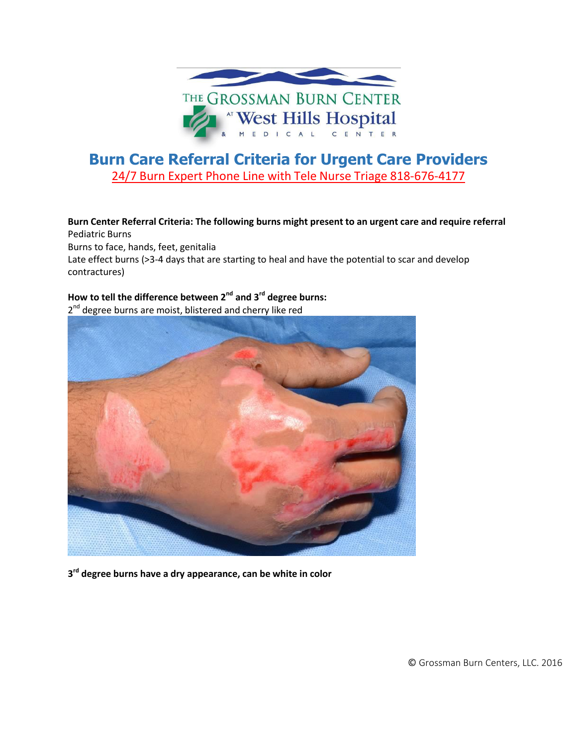

# **Burn Care Referral Criteria for Urgent Care Providers** 24/7 Burn Expert Phone Line with Tele Nurse Triage 818-676-4177

**Burn Center Referral Criteria: The following burns might present to an urgent care and require referral** Pediatric Burns Burns to face, hands, feet, genitalia Late effect burns (>3-4 days that are starting to heal and have the potential to scar and develop contractures)

## **How to tell the difference between 2 nd and 3 rd degree burns:**

2<sup>nd</sup> degree burns are moist, blistered and cherry like red



**3 rd degree burns have a dry appearance, can be white in color**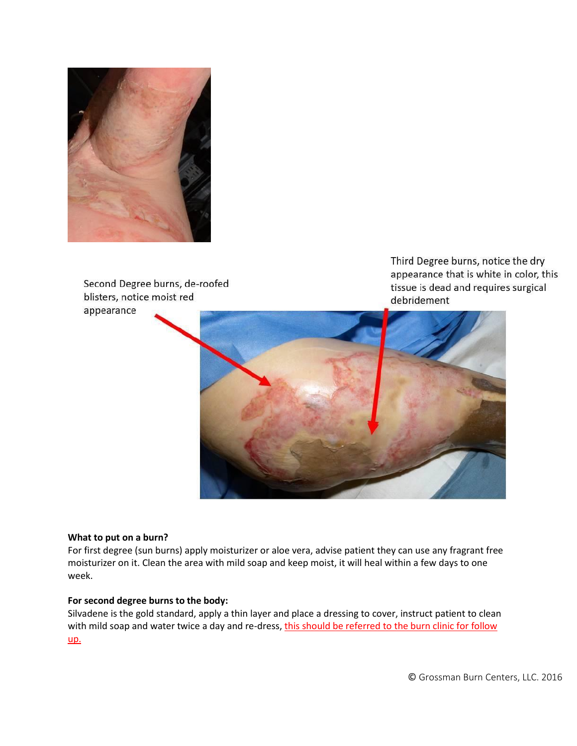

Second Degree burns, de-roofed blisters, notice moist red appearance

Third Degree burns, notice the dry appearance that is white in color, this tissue is dead and requires surgical debridement



#### **What to put on a burn?**

For first degree (sun burns) apply moisturizer or aloe vera, advise patient they can use any fragrant free moisturizer on it. Clean the area with mild soap and keep moist, it will heal within a few days to one week.

### **For second degree burns to the body:**

Silvadene is the gold standard, apply a thin layer and place a dressing to cover, instruct patient to clean with mild soap and water twice a day and re-dress, this should be referred to the burn clinic for follow up.